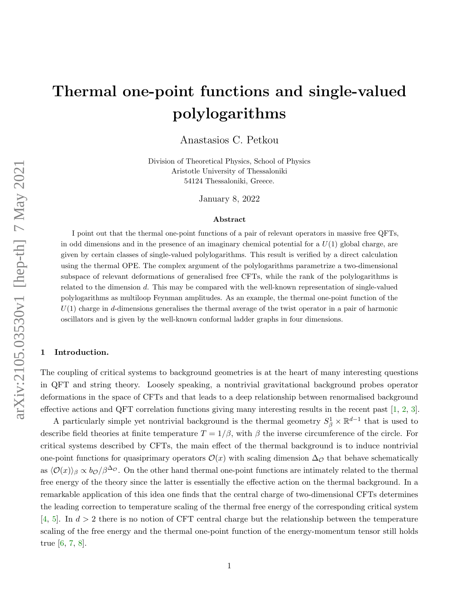# Thermal one-point functions and single-valued polylogarithms

Anastasios C. Petkou

Division of Theoretical Physics, School of Physics Aristotle University of Thessaloniki 54124 Thessaloniki, Greece.

January 8, 2022

#### Abstract

I point out that the thermal one-point functions of a pair of relevant operators in massive free QFTs, in odd dimensions and in the presence of an imaginary chemical potential for a  $U(1)$  global charge, are given by certain classes of single-valued polylogarithms. This result is verified by a direct calculation using the thermal OPE. The complex argument of the polylogarithms parametrize a two-dimensional subspace of relevant deformations of generalised free CFTs, while the rank of the polylogarithms is related to the dimension  $d$ . This may be compared with the well-known representation of single-valued polylogarithms as multiloop Feynman amplitudes. As an example, the thermal one-point function of the  $U(1)$  charge in d-dimensions generalises the thermal average of the twist operator in a pair of harmonic oscillators and is given by the well-known conformal ladder graphs in four dimensions.

## 1 Introduction.

The coupling of critical systems to background geometries is at the heart of many interesting questions in QFT and string theory. Loosely speaking, a nontrivial gravitational background probes operator deformations in the space of CFTs and that leads to a deep relationship between renormalised background effective actions and QFT correlation functions giving many interesting results in the recent past [\[1,](#page-8-0) [2,](#page-8-1) [3\]](#page-8-2).

A particularly simple yet nontrivial background is the thermal geometry  $S^1_\beta \times \mathbb{R}^{d-1}$  that is used to describe field theories at finite temperature  $T = 1/\beta$ , with  $\beta$  the inverse circumference of the circle. For critical systems described by CFTs, the main effect of the thermal background is to induce nontrivial one-point functions for quasiprimary operators  $\mathcal{O}(x)$  with scaling dimension  $\Delta_{\mathcal{O}}$  that behave schematically as  $\langle \mathcal{O}(x)\rangle_\beta \propto b_\mathcal{O}/\beta^{\Delta_\mathcal{O}}$ . On the other hand thermal one-point functions are intimately related to the thermal free energy of the theory since the latter is essentially the effective action on the thermal background. In a remarkable application of this idea one finds that the central charge of two-dimensional CFTs determines the leading correction to temperature scaling of the thermal free energy of the corresponding critical system [\[4,](#page-8-3) [5\]](#page-8-4). In  $d > 2$  there is no notion of CFT central charge but the relationship between the temperature scaling of the free energy and the thermal one-point function of the energy-momentum tensor still holds true [\[6,](#page-8-5) [7,](#page-8-6) [8\]](#page-8-7).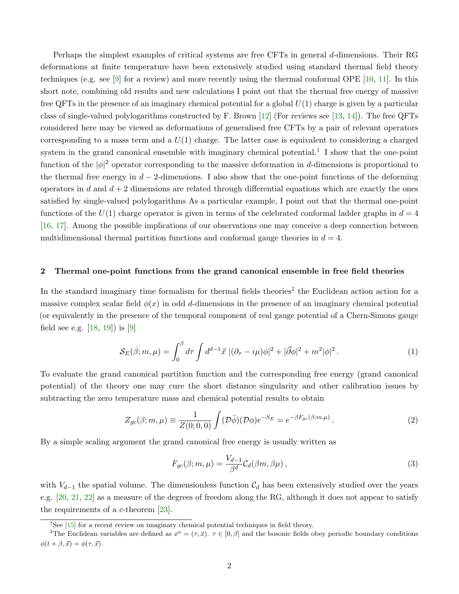Perhaps the simplest examples of critical systems are free CFTs in general d-dimensions. Their RG deformations at finite temperature have been extensively studied using standard thermal field theory techniques (e.g. see [\[9\]](#page-8-8) for a review) and more recently using the thermal conformal OPE [\[10,](#page-8-9) [11\]](#page-8-10). In this short note, combining old results and new calculations I point out that the thermal free energy of massive free QFTs in the presence of an imaginary chemical potential for a global  $U(1)$  charge is given by a particular class of single-valued polylogarithms constructed by F. Brown [\[12\]](#page-8-11) (For reviews see [\[13,](#page-9-0) [14\]](#page-9-1)). The free QFTs considered here may be viewed as deformations of generalised free CFTs by a pair of relevant operators corresponding to a mass term and a  $U(1)$  charge. The latter case is equivalent to considering a charged system in the grand canonical ensemble with imaginary chemical potential.<sup>[1](#page-1-0)</sup> I show that the one-point function of the  $|\phi|^2$  operator corresponding to the massive deformation in d-dimensions is proportional to the thermal free energy in  $d-2$ -dimensions. I also show that the one-point functions of the deforming operators in d and  $d + 2$  dimensions are related through differential equations which are exactly the ones satisfied by single-valued polylogarithms As a particular example, I point out that the thermal one-point functions of the  $U(1)$  charge operator is given in terms of the celebrated conformal ladder graphs in  $d = 4$ [\[16,](#page-9-2) [17\]](#page-9-3). Among the possible implications of our observations one may conceive a deep connection between multidimensional thermal partition functions and conformal gauge theories in  $d = 4$ .

### 2 Thermal one-point functions from the grand canonical ensemble in free field theories

In the standard imaginary time formalism for thermal fields theories<sup>[2](#page-1-1)</sup> the Euclidean action action for a massive complex scalar field  $\phi(x)$  in odd d-dimensions in the presence of an imaginary chemical potential (or equivalently in the presence of the temporal component of real gauge potential of a Chern-Simons gauge field see e.g.  $[18, 19]$  $[18, 19]$  is  $[9]$ 

<span id="page-1-2"></span>
$$
S_E(\beta; m, \mu) = \int_0^\beta d\tau \int d^{d-1} \vec{x} \, |(\partial_\tau - i\mu)\phi|^2 + |\vec{\partial}\phi|^2 + m^2 |\phi|^2. \tag{1}
$$

To evaluate the grand canonical partition function and the corresponding free energy (grand canonical potential) of the theory one may cure the short distance singularity and other calibration issues by subtracting the zero temperature mass and chemical potential results to obtain

$$
Z_{gc}(\beta; m, \mu) \equiv \frac{1}{Z(0; 0, 0)} \int (\mathcal{D}\bar{\phi})(\mathcal{D}\phi)e^{-S_E} = e^{-\beta F_{gc}(\beta; m, \mu)}.
$$
 (2)

By a simple scaling argument the grand canonical free energy is usually written as

$$
F_{gc}(\beta; m, \mu) = \frac{V_{d-1}}{\beta^d} \mathcal{C}_d(\beta m, \beta \mu) ,
$$
\n(3)

with  $V_{d-1}$  the spatial volume. The dimensionless function  $\mathcal{C}_d$  has been extensively studied over the years e.g. [\[20,](#page-9-6) [21,](#page-9-7) [22\]](#page-9-8) as a measure of the degrees of freedom along the RG, although it does not appear to satisfy the requirements of a c-theorem [\[23\]](#page-9-9).

<span id="page-1-1"></span><span id="page-1-0"></span><sup>1</sup>See [\[15\]](#page-9-10) for a recent review on imaginary chemical potential techniques in field theory.

<sup>&</sup>lt;sup>2</sup>The Euclidean variables are defined as  $x^{\mu} = (\tau, \bar{x})$ .  $\tau \in [0, \beta]$  and the bosonic fields obey periodic boundary conditions  $\phi(t + \beta, \vec{x}) = \phi(\tau, \vec{x}).$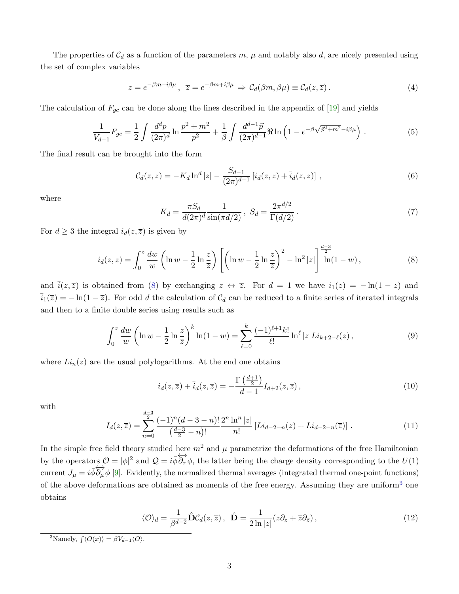The properties of  $C_d$  as a function of the parameters m,  $\mu$  and notably also d, are nicely presented using the set of complex variables

<span id="page-2-3"></span>
$$
z = e^{-\beta m - i\beta \mu}, \ \ \overline{z} = e^{-\beta m + i\beta \mu} \Rightarrow \mathcal{C}_d(\beta m, \beta \mu) \equiv \mathcal{C}_d(z, \overline{z}). \tag{4}
$$

The calculation of  $F_{gc}$  can be done along the lines described in the appendix of [\[19\]](#page-9-5) and yields

$$
\frac{1}{V_{d-1}}F_{gc} = \frac{1}{2} \int \frac{d^d p}{(2\pi)^d} \ln \frac{p^2 + m^2}{p^2} + \frac{1}{\beta} \int \frac{d^{d-1} \vec{p}}{(2\pi)^{d-1}} \Re \ln \left( 1 - e^{-\beta \sqrt{\vec{p}^2 + m^2} - i\beta \mu} \right) . \tag{5}
$$

The final result can be brought into the form

<span id="page-2-4"></span>
$$
C_d(z,\overline{z}) = -K_d \ln^d |z| - \frac{S_{d-1}}{(2\pi)^{d-1}} \left[ i_d(z,\overline{z}) + \overline{i}_d(z,\overline{z}) \right],\tag{6}
$$

where

$$
K_d = \frac{\pi S_d}{d(2\pi)^d} \frac{1}{\sin(\pi d/2)}, \ S_d = \frac{2\pi^{d/2}}{\Gamma(d/2)}.
$$
 (7)

 $d = 3$ 

For  $d \geq 3$  the integral  $i_d(z, \overline{z})$  is given by

<span id="page-2-0"></span>
$$
i_d(z,\overline{z}) = \int_0^z \frac{dw}{w} \left( \ln w - \frac{1}{2} \ln \frac{z}{\overline{z}} \right) \left[ \left( \ln w - \frac{1}{2} \ln \frac{z}{\overline{z}} \right)^2 - \ln^2 |z| \right] \frac{z}{\ln(1-w)},\tag{8}
$$

and  $\bar{i}(z,\bar{z})$  is obtained from [\(8\)](#page-2-0) by exchanging  $z \leftrightarrow \bar{z}$ . For  $d = 1$  we have  $i_1(z) = -\ln(1-z)$  and  $\bar{i}_1(\bar{z}) = -\ln(1-\bar{z})$ . For odd d the calculation of  $\mathcal{C}_d$  can be reduced to a finite series of iterated integrals and then to a finite double series using results such as

$$
\int_0^z \frac{dw}{w} \left( \ln w - \frac{1}{2} \ln \frac{z}{\overline{z}} \right)^k \ln(1 - w) = \sum_{\ell=0}^k \frac{(-1)^{\ell+1} k!}{\ell!} \ln^{\ell} |z| L i_{k+2-\ell}(z),\tag{9}
$$

where  $Li_n(z)$  are the usual polylogarithms. At the end one obtains

<span id="page-2-6"></span>
$$
i_d(z,\overline{z}) + \overline{i}_d(z,\overline{z}) = -\frac{\Gamma\left(\frac{d+1}{2}\right)}{d-1} I_{d+2}(z,\overline{z}),\tag{10}
$$

with

<span id="page-2-5"></span>
$$
I_d(z,\overline{z}) = \sum_{n=0}^{\frac{d-3}{2}} \frac{(-1)^n (d-3-n)!}{\left(\frac{d-3}{2}-n\right)!} \frac{2^n \ln^n |z|}{n!} \left[Li_{d-2-n}(z) + Li_{d-2-n}(\overline{z})\right].\tag{11}
$$

In the simple free field theory studied here  $m^2$  and  $\mu$  parametrize the deformations of the free Hamiltonian by the operators  $\mathcal{O} = |\phi|^2$  and  $\mathcal{Q} = i\overrightarrow{\phi}\overleftrightarrow{\partial_{\tau}}\phi$ , the latter being the charge density corresponding to the  $U(1)$ current  $J_{\mu} = i\overrightarrow{\phi} \overrightarrow{\partial_{\mu}} \phi$  [\[9\]](#page-8-8). Evidently, the normalized thermal averages (integrated thermal one-point functions) of the above deformations are obtained as moments of the free energy. Assuming they are uniform[3](#page-2-1) one obtains

<span id="page-2-2"></span>
$$
\langle \mathcal{O} \rangle_d = \frac{1}{\beta^{d-2}} \hat{\mathbf{D}} \mathcal{C}_d(z, \overline{z}), \quad \hat{\mathbf{D}} = \frac{1}{2 \ln|z|} (z \partial_z + \overline{z} \partial_{\overline{z}}), \tag{12}
$$

<span id="page-2-1"></span><sup>3</sup>Namely,  $\int \langle O(x) \rangle = \beta V_{d-1} \langle O \rangle$ .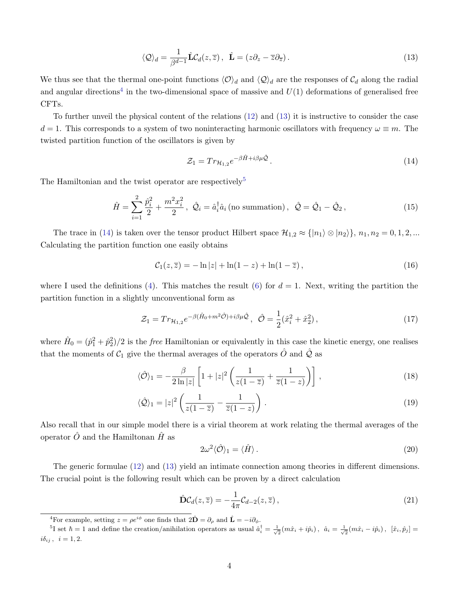$$
\langle \mathcal{Q} \rangle_d = \frac{1}{\beta^{d-1}} \hat{\mathbf{L}} \mathcal{C}_d(z, \overline{z}), \quad \hat{\mathbf{L}} = (z \partial_z - \overline{z} \partial_{\overline{z}}).
$$
\n(13)

We thus see that the thermal one-point functions  $\langle \mathcal{O} \rangle_d$  and  $\langle \mathcal{Q} \rangle_d$  are the responses of  $\mathcal{C}_d$  along the radial and angular directions<sup>[4](#page-3-0)</sup> in the two-dimensional space of massive and  $U(1)$  deformations of generalised free CFTs.

To further unveil the physical content of the relations [\(12\)](#page-2-2) and [\(13\)](#page-3-1) it is instructive to consider the case  $d = 1$ . This corresponds to a system of two noninteracting harmonic oscillators with frequency  $\omega \equiv m$ . The twisted partition function of the oscillators is given by

<span id="page-3-3"></span><span id="page-3-1"></span>
$$
\mathcal{Z}_1 = Tr_{\mathcal{H}_{1,2}} e^{-\beta \hat{H} + i\beta \mu \hat{\mathcal{Q}}}.
$$
\n
$$
(14)
$$

The Hamiltonian and the twist operator are respectively<sup>[5](#page-3-2)</sup>

$$
\hat{H} = \sum_{i=1}^{2} \frac{\hat{p}_i^2}{2} + \frac{m^2 x_i^2}{2}, \ \hat{Q}_i = \hat{a}_i^{\dagger} \hat{a}_i \text{ (no summation)}, \ \hat{Q} = \hat{Q}_1 - \hat{Q}_2, \tag{15}
$$

The trace in [\(14\)](#page-3-3) is taken over the tensor product Hilbert space  $\mathcal{H}_{1,2} \approx \{|n_1\rangle \otimes |n_2\rangle\}, n_1, n_2 = 0, 1, 2, ...$ Calculating the partition function one easily obtains

$$
C_1(z,\overline{z}) = -\ln|z| + \ln(1-z) + \ln(1-\overline{z}), \qquad (16)
$$

where I used the definitions [\(4\)](#page-2-3). This matches the result [\(6\)](#page-2-4) for  $d = 1$ . Next, writing the partition the partition function in a slightly unconventional form as

$$
\mathcal{Z}_1 = Tr_{\mathcal{H}_{1,2}} e^{-\beta (\hat{H}_0 + m^2 \hat{\mathcal{O}}) + i\beta \mu \hat{\mathcal{Q}}}, \ \ \hat{\mathcal{O}} = \frac{1}{2} (\hat{x}_i^2 + \hat{x}_2^2), \tag{17}
$$

where  $\hat{H}_0 = (\hat{p}_1^2 + \hat{p}_2^2)/2$  is the *free* Hamiltonian or equivalently in this case the kinetic energy, one realises that the moments of  $C_1$  give the thermal averages of the operators  $\hat{O}$  and  $\hat{Q}$  as

$$
\langle \hat{\mathcal{O}} \rangle_1 = -\frac{\beta}{2\ln|z|} \left[ 1 + |z|^2 \left( \frac{1}{z(1-\overline{z})} + \frac{1}{\overline{z}(1-z)} \right) \right],\tag{18}
$$

$$
\langle \hat{\mathcal{Q}} \rangle_1 = |z|^2 \left( \frac{1}{z(1-\overline{z})} - \frac{1}{\overline{z}(1-z)} \right). \tag{19}
$$

Also recall that in our simple model there is a virial theorem at work relating the thermal averages of the operator  $\hat{O}$  and the Hamiltonan  $\hat{H}$  as

<span id="page-3-5"></span>
$$
2\omega^2 \langle \hat{\mathcal{O}} \rangle_1 = \langle \hat{H} \rangle. \tag{20}
$$

The generic formulae [\(12\)](#page-2-2) and [\(13\)](#page-3-1) yield an intimate connection among theories in different dimensions. The crucial point is the following result which can be proven by a direct calculation

<span id="page-3-4"></span>
$$
\hat{\mathbf{D}}\mathcal{C}_d(z,\overline{z}) = -\frac{1}{4\pi}\mathcal{C}_{d-2}(z,\overline{z}),\tag{21}
$$

<span id="page-3-2"></span><span id="page-3-0"></span><sup>&</sup>lt;sup>4</sup>For example, setting  $z = \rho e^{i\phi}$  one finds that  $2\hat{\mathbf{D}} = \partial_{\rho}$  and  $\hat{\mathbf{L}} = -i\partial_{\phi}$ .

<sup>&</sup>lt;sup>5</sup>I set  $\hbar = 1$  and define the creation/anihilation operators as usual  $\hat{a}_i^{\dagger} = \frac{1}{\sqrt{2}}(m\hat{x}_i + i\hat{p}_i), \quad \hat{a}_i = \frac{1}{\sqrt{2}}(m\hat{x}_i - i\hat{p}_i), \quad [\hat{x}_i, \hat{p}_j] =$  $i\delta_{ij}$ ,  $i = 1, 2$ .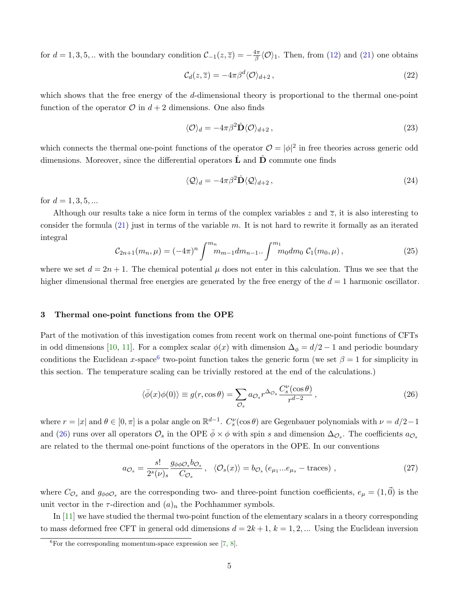for  $d = 1, 3, 5, ...$  with the boundary condition  $\mathcal{C}_{-1}(z, \overline{z}) = -\frac{4\pi}{\beta}$  $\frac{4\pi}{\beta} \langle \mathcal{O} \rangle_1$ . Then, from [\(12\)](#page-2-2) and [\(21\)](#page-3-4) one obtains

$$
\mathcal{C}_d(z,\overline{z}) = -4\pi\beta^d \langle \mathcal{O} \rangle_{d+2},\tag{22}
$$

which shows that the free energy of the d-dimensional theory is proportional to the thermal one-point function of the operator  $\mathcal O$  in  $d+2$  dimensions. One also finds

<span id="page-4-2"></span>
$$
\langle \mathcal{O} \rangle_d = -4\pi\beta^2 \hat{\mathbf{D}} \langle \mathcal{O} \rangle_{d+2},\tag{23}
$$

which connects the thermal one-point functions of the operator  $\mathcal{O} = |\phi|^2$  in free theories across generic odd dimensions. Moreover, since the differential operators  $\hat{\mathbf{L}}$  and  $\hat{\mathbf{D}}$  commute one finds

<span id="page-4-3"></span>
$$
\langle \mathcal{Q} \rangle_d = -4\pi \beta^2 \hat{\mathbf{D}} \langle \mathcal{Q} \rangle_{d+2},\tag{24}
$$

for  $d = 1, 3, 5, ...$ 

Although our results take a nice form in terms of the complex variables z and  $\overline{z}$ , it is also interesting to consider the formula  $(21)$  just in terms of the variable m. It is not hard to rewrite it formally as an iterated integral

$$
C_{2n+1}(m_n,\mu) = (-4\pi)^n \int^{m_n} m_{m-1} dm_{n-1} \cdot \int^m m_0 dm_0 \mathcal{C}_1(m_0,\mu) , \qquad (25)
$$

where we set  $d = 2n + 1$ . The chemical potential  $\mu$  does not enter in this calculation. Thus we see that the higher dimensional thermal free energies are generated by the free energy of the  $d = 1$  harmonic oscillator.

#### 3 Thermal one-point functions from the OPE

Part of the motivation of this investigation comes from recent work on thermal one-point functions of CFTs in odd dimensions [\[10,](#page-8-9) [11\]](#page-8-10). For a complex scalar  $\phi(x)$  with dimension  $\Delta_{\phi} = d/2 - 1$  and periodic boundary conditions the Euclidean x-space<sup>[6](#page-4-0)</sup> two-point function takes the generic form (we set  $\beta = 1$  for simplicity in this section. The temperature scaling can be trivially restored at the end of the calculations.)

<span id="page-4-1"></span>
$$
\langle \bar{\phi}(x)\phi(0)\rangle \equiv g(r, \cos \theta) = \sum_{\mathcal{O}_s} a_{\mathcal{O}_s} r^{\Delta_{\mathcal{O}_s}} \frac{C_s^{\nu}(\cos \theta)}{r^{d-2}},\tag{26}
$$

where  $r = |x|$  and  $\theta \in [0, \pi]$  is a polar angle on  $\mathbb{R}^{d-1}$ .  $C_s^{\nu}(\cos \theta)$  are Gegenbauer polynomials with  $\nu = d/2 - 1$ and [\(26\)](#page-4-1) runs over all operators  $\mathcal{O}_s$  in the OPE  $\bar{\phi} \times \phi$  with spin s and dimension  $\Delta_{\mathcal{O}_s}$ . The coefficients  $a_{\mathcal{O}_s}$ are related to the thermal one-point functions of the operators in the OPE. In our conventions

$$
a_{\mathcal{O}_s} = \frac{s!}{2^s(\nu)_s} \frac{g_{\phi\phi\mathcal{O}_s} b_{\mathcal{O}_s}}{C_{\mathcal{O}_s}}, \quad \langle \mathcal{O}_s(x) \rangle = b_{\mathcal{O}_s} \left( e_{\mu_1} ... e_{\mu_s} - \text{traces} \right) , \tag{27}
$$

where  $C_{\mathcal{O}_s}$  and  $g_{\phi\phi\mathcal{O}_s}$  are the corresponding two- and three-point function coefficients,  $e_\mu = (1,\vec{0})$  is the unit vector in the  $\tau$ -direction and  $(a)_n$  the Pochhammer symbols.

In [\[11\]](#page-8-10) we have studied the thermal two-point function of the elementary scalars in a theory corresponding to mass deformed free CFT in general odd dimensions  $d = 2k + 1$ ,  $k = 1, 2, ...$  Using the Euclidean inversion

<span id="page-4-0"></span> ${}^{6}$ For the corresponding momentum-space expression see [\[7,](#page-8-6) [8\]](#page-8-7).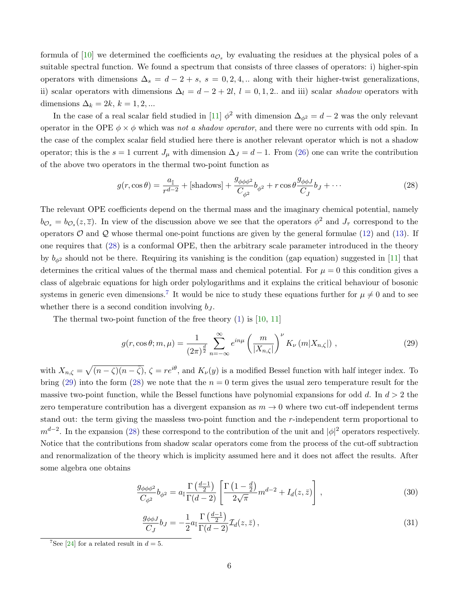formula of [\[10\]](#page-8-9) we determined the coefficients  $a_{\mathcal{O}_s}$  by evaluating the residues at the physical poles of a suitable spectral function. We found a spectrum that consists of three classes of operators: i) higher-spin operators with dimensions  $\Delta_s = d - 2 + s$ ,  $s = 0, 2, 4, ...$  along with their higher-twist generalizations, ii) scalar operators with dimensions  $\Delta_l = d - 2 + 2l$ ,  $l = 0, 1, 2$ . and iii) scalar shadow operators with dimensions  $\Delta_k = 2k, k = 1, 2, ...$ 

In the case of a real scalar field studied in [\[11\]](#page-8-10)  $\phi^2$  with dimension  $\Delta_{\phi^2} = d - 2$  was the only relevant operator in the OPE  $\phi \times \phi$  which was not a shadow operator, and there were no currents with odd spin. In the case of the complex scalar field studied here there is another relevant operator which is not a shadow operator; this is the  $s = 1$  current  $J_{\mu}$  with dimension  $\Delta J = d - 1$ . From [\(26\)](#page-4-1) one can write the contribution of the above two operators in the thermal two-point function as

<span id="page-5-0"></span>
$$
g(r, \cos \theta) = \frac{a_{\mathbb{I}}}{r^{d-2}} + \left[\text{shadows}\right] + \frac{g_{\phi\phi\phi^2}}{C_{\phi^2}}b_{\phi^2} + r\cos\theta \frac{g_{\phi\phi J}}{C_J}b_J + \cdots
$$
 (28)

The relevant OPE coefficients depend on the thermal mass and the imaginary chemical potential, namely  $b_{\mathcal{O}_s} = b_{\mathcal{O}_s}(z,\overline{z})$ . In view of the discussion above we see that the operators  $\phi^2$  and  $J_{\tau}$  correspond to the operators  $\mathcal O$  and  $\mathcal Q$  whose thermal one-point functions are given by the general formulae [\(12\)](#page-2-2) and [\(13\)](#page-3-1). If one requires that [\(28\)](#page-5-0) is a conformal OPE, then the arbitrary scale parameter introduced in the theory by  $b_{\phi^2}$  should not be there. Requiring its vanishing is the condition (gap equation) suggested in [\[11\]](#page-8-10) that determines the critical values of the thermal mass and chemical potential. For  $\mu = 0$  this condition gives a class of algebraic equations for high order polylogarithms and it explains the critical behaviour of bosonic systems in generic even dimensions.<sup>[7](#page-5-1)</sup> It would be nice to study these equations further for  $\mu \neq 0$  and to see whether there is a second condition involving  $b<sub>J</sub>$ .

The thermal two-point function of the free theory  $(1)$  is [\[10,](#page-8-9) [11\]](#page-8-10)

<span id="page-5-2"></span>
$$
g(r, \cos \theta; m, \mu) = \frac{1}{(2\pi)^{\frac{d}{2}}} \sum_{n=-\infty}^{\infty} e^{in\mu} \left(\frac{m}{|X_{n,\zeta}|}\right)^{\nu} K_{\nu} \left(m|X_{n,\zeta}|\right) , \qquad (29)
$$

with  $X_{n,\zeta} = \sqrt{(n-\zeta)(n-\bar{\zeta})}, \zeta = re^{i\theta}$ , and  $K_{\nu}(y)$  is a modified Bessel function with half integer index. To bring [\(29\)](#page-5-2) into the form [\(28\)](#page-5-0) we note that the  $n = 0$  term gives the usual zero temperature result for the massive two-point function, while the Bessel functions have polynomial expansions for odd d. In  $d > 2$  the zero temperature contribution has a divergent expansion as  $m \to 0$  where two cut-off independent terms stand out: the term giving the massless two-point function and the r-independent term proportional to  $m^{d-2}$ . In the expansion [\(28\)](#page-5-0) these correspond to the contribution of the unit and  $|\phi|^2$  operators respectively. Notice that the contributions from shadow scalar operators come from the process of the cut-off subtraction and renormalization of the theory which is implicity assumed here and it does not affect the results. After some algebra one obtains

$$
\frac{g_{\phi\phi\phi^2}}{C_{\phi^2}}b_{\phi^2} = a_{\mathbb{I}} \frac{\Gamma\left(\frac{d-1}{2}\right)}{\Gamma(d-2)} \left[ \frac{\Gamma\left(1-\frac{d}{2}\right)}{2\sqrt{\pi}} m^{d-2} + I_d(z,\bar{z}) \right] \,,\tag{30}
$$

<span id="page-5-4"></span><span id="page-5-3"></span>
$$
\frac{g_{\phi\phi J}}{C_J}b_J = -\frac{1}{2}a_{\mathbb{I}}\frac{\Gamma\left(\frac{d-1}{2}\right)}{\Gamma(d-2)}\mathcal{I}_d(z,\bar{z})\,,\tag{31}
$$

<span id="page-5-1"></span><sup>&</sup>lt;sup>7</sup>See [\[24\]](#page-9-11) for a related result in  $d = 5$ .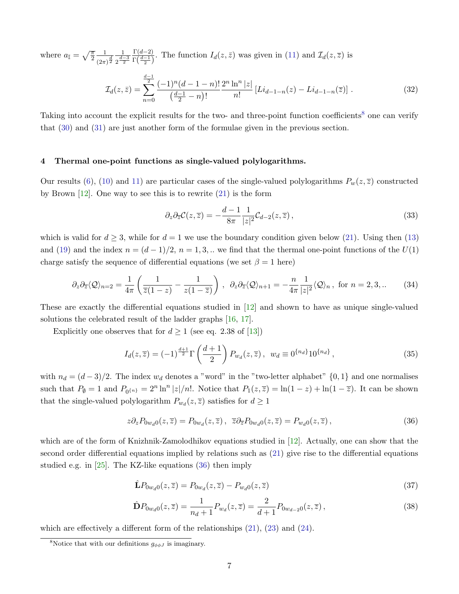where  $a_{\mathbb{I}} = \sqrt{\frac{\pi}{2}}$ 1  $\sqrt{(2\pi)^{\frac{d}{2}}}$ 1  $2^{\frac{d-3}{2}}$  $\Gamma(d-2)$  $\frac{\Gamma(d-2)}{\Gamma(\frac{d-1}{2})}$ . The function  $I_d(z,\bar{z})$  was given in [\(11\)](#page-2-5) and  $\mathcal{I}_d(z,\bar{z})$  is

$$
\mathcal{I}_d(z,\bar{z}) = \sum_{n=0}^{\frac{d-1}{2}} \frac{(-1)^n (d-1-n)!}{\left(\frac{d-1}{2}-n\right)!} \frac{2^n \ln^n |z|}{n!} \left[Li_{d-1-n}(z) - Li_{d-1-n}(\bar{z})\right].\tag{32}
$$

Taking into account the explicit results for the two- and three-point function coefficients<sup>[8](#page-6-0)</sup> one can verify that [\(30\)](#page-5-3) and [\(31\)](#page-5-4) are just another form of the formulae given in the previous section.

# 4 Thermal one-point functions as single-valued polylogarithms.

Our results [\(6\)](#page-2-4), [\(10\)](#page-2-6) and [11\)](#page-2-5) are particular cases of the single-valued polylogarithms  $P_w(z,\overline{z})$  constructed by Brown  $[12]$ . One way to see this is to rewrite  $(21)$  is the form

$$
\partial_z \partial_{\overline{z}} \mathcal{C}(z, \overline{z}) = -\frac{d-1}{8\pi} \frac{1}{|z|^2} \mathcal{C}_{d-2}(z, \overline{z}), \qquad (33)
$$

which is valid for  $d \geq 3$ , while for  $d = 1$  we use the boundary condition given below [\(21\)](#page-3-4). Using then [\(13\)](#page-3-1) and [\(19\)](#page-3-5) and the index  $n = (d-1)/2$ ,  $n = 1, 3, ...$  we find that the thermal one-point functions of the  $U(1)$ charge satisfy the sequence of differential equations (we set  $\beta = 1$  here)

$$
\partial_z \partial_{\overline{z}} \langle \mathcal{Q} \rangle_{n=2} = \frac{1}{4\pi} \left( \frac{1}{\overline{z}(1-z)} - \frac{1}{z(1-\overline{z})} \right) , \quad \partial_z \partial_{\overline{z}} \langle \mathcal{Q} \rangle_{n+1} = -\frac{n}{4\pi} \frac{1}{|z|^2} \langle \mathcal{Q} \rangle_n , \text{ for } n=2,3,.. \tag{34}
$$

These are exactly the differential equations studied in [\[12\]](#page-8-11) and shown to have as unique single-valued solutions the celebrated result of the ladder graphs [\[16,](#page-9-2) [17\]](#page-9-3).

Explicitly one observes that for  $d \geq 1$  (see eq. 2.38 of [\[13\]](#page-9-0))

$$
I_d(z,\overline{z}) = (-1)^{\frac{d+1}{2}} \Gamma\left(\frac{d+1}{2}\right) P_{w_d}(z,\overline{z}), \ \ w_d \equiv 0^{\{n_d\}} 10^{\{n_d\}}, \tag{35}
$$

with  $n_d = (d-3)/2$ . The index  $w_d$  denotes a "word" in the "two-letter alphabet"  $\{0,1\}$  and one normalises such that  $P_{\emptyset} = 1$  and  $P_{0}$ <sub>{n}</sub> =  $2^{n}$  ln<sup>n</sup> |z|/n!. Notice that  $P_{1}(z,\overline{z}) = \ln(1-z) + \ln(1-\overline{z})$ . It can be shown that the single-valued polylogarithm  $P_{w_d}(z, \overline{z})$  satisfies for  $d \ge 1$ 

<span id="page-6-1"></span>
$$
z\partial_z P_{0w_d0}(z,\overline{z}) = P_{0w_d}(z,\overline{z}), \ \overline{z}\partial_{\overline{z}} P_{0w_d0}(z,\overline{z}) = P_{w_d0}(z,\overline{z}), \tag{36}
$$

which are of the form of Knizhnik-Zamolodhikov equations studied in [\[12\]](#page-8-11). Actually, one can show that the second order differential equations implied by relations such as [\(21\)](#page-3-4) give rise to the differential equations studied e.g. in [\[25\]](#page-9-12). The KZ-like equations [\(36\)](#page-6-1) then imply

<span id="page-6-2"></span>
$$
\hat{\mathbf{L}}P_{0w_d0}(z,\overline{z}) = P_{0w_d}(z,\overline{z}) - P_{w_d0}(z,\overline{z})
$$
\n(37)

$$
\hat{\mathbf{D}}P_{0w_d0}(z,\overline{z}) = \frac{1}{n_d+1}P_{w_d}(z,\overline{z}) = \frac{2}{d+1}P_{0w_{d-2}0}(z,\overline{z}),\tag{38}
$$

which are effectively a different form of the relationships  $(21)$ ,  $(23)$  and  $(24)$ .

<span id="page-6-0"></span><sup>&</sup>lt;sup>8</sup>Notice that with our definitions  $g_{\phi\phi J}$  is imaginary.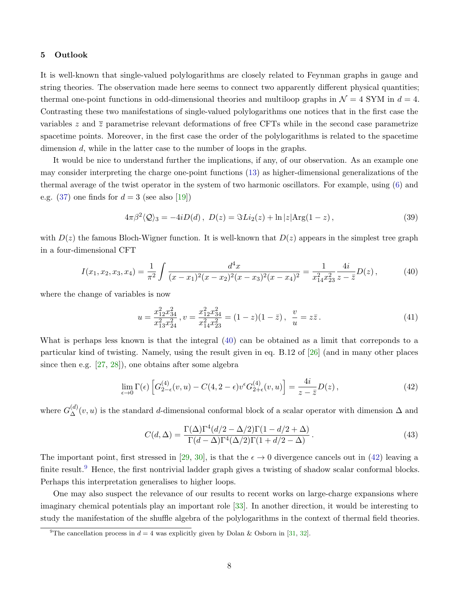#### 5 Outlook

It is well-known that single-valued polylogarithms are closely related to Feynman graphs in gauge and string theories. The observation made here seems to connect two apparently different physical quantities; thermal one-point functions in odd-dimensional theories and multiloop graphs in  $\mathcal{N} = 4$  SYM in  $d = 4$ . Contrasting these two manifestations of single-valued polylogarithms one notices that in the first case the variables z and  $\overline{z}$  parametrise relevant deformations of free CFTs while in the second case parametrize spacetime points. Moreover, in the first case the order of the polylogarithms is related to the spacetime dimension d, while in the latter case to the number of loops in the graphs.

It would be nice to understand further the implications, if any, of our observation. As an example one may consider interpreting the charge one-point functions [\(13\)](#page-3-1) as higher-dimensional generalizations of the thermal average of the twist operator in the system of two harmonic oscillators. For example, using [\(6\)](#page-2-4) and e.g.  $(37)$  one finds for  $d = 3$  (see also [\[19\]](#page-9-5))

$$
4\pi\beta^2 \langle \mathcal{Q} \rangle_3 = -4iD(d), \ D(z) = \Im \text{Li}_2(z) + \ln|z| \text{Arg}(1-z), \tag{39}
$$

with  $D(z)$  the famous Bloch-Wigner function. It is well-known that  $D(z)$  appears in the simplest tree graph in a four-dimensional CFT

<span id="page-7-0"></span>
$$
I(x_1, x_2, x_3, x_4) = \frac{1}{\pi^2} \int \frac{d^4x}{(x - x_1)^2 (x - x_2)^2 (x - x_3)^2 (x - x_4)^2} = \frac{1}{x_1^2 x_2^2} \frac{4i}{z - \bar{z}} D(z), \tag{40}
$$

where the change of variables is now

$$
u = \frac{x_{12}^2 x_{34}^2}{x_{13}^2 x_{24}^2}, v = \frac{x_{12}^2 x_{34}^2}{x_{14}^2 x_{23}^2} = (1 - z)(1 - \bar{z}), \ \frac{v}{u} = z\bar{z}.
$$
 (41)

What is perhaps less known is that the integral [\(40\)](#page-7-0) can be obtained as a limit that correponds to a particular kind of twisting. Namely, using the result given in eq. B.12 of [\[26\]](#page-9-13) (and in many other places since then e.g. [\[27,](#page-9-14) [28\]](#page-9-15)), one obtains after some algebra

<span id="page-7-1"></span>
$$
\lim_{\epsilon \to 0} \Gamma(\epsilon) \left[ G_{2-\epsilon}^{(4)}(v, u) - C(4, 2-\epsilon) v^{\epsilon} G_{2+\epsilon}^{(4)}(v, u) \right] = \frac{4i}{z - \bar{z}} D(z) , \tag{42}
$$

where  $G_{\Delta}^{(d)}(v, u)$  is the standard d-dimensional conformal block of a scalar operator with dimension  $\Delta$  and

$$
C(d,\Delta) = \frac{\Gamma(\Delta)\Gamma^4(d/2 - \Delta/2)\Gamma(1 - d/2 + \Delta)}{\Gamma(d - \Delta)\Gamma^4(\Delta/2)\Gamma(1 + d/2 - \Delta)}.
$$
\n(43)

The important point, first stressed in [\[29,](#page-9-16) [30\]](#page-10-0), is that the  $\epsilon \to 0$  divergence cancels out in [\(42\)](#page-7-1) leaving a finite result.<sup>[9](#page-7-2)</sup> Hence, the first nontrivial ladder graph gives a twisting of shadow scalar conformal blocks. Perhaps this interpretation generalises to higher loops.

One may also suspect the relevance of our results to recent works on large-charge expansions where imaginary chemical potentials play an important role [\[33\]](#page-10-1). In another direction, it would be interesting to study the manifestation of the shuffle algebra of the polylogarithms in the context of thermal field theories.

<span id="page-7-2"></span><sup>&</sup>lt;sup>9</sup>The cancellation process in  $d = 4$  was explicitly given by Dolan & Osborn in [\[31,](#page-10-2) [32\]](#page-10-3).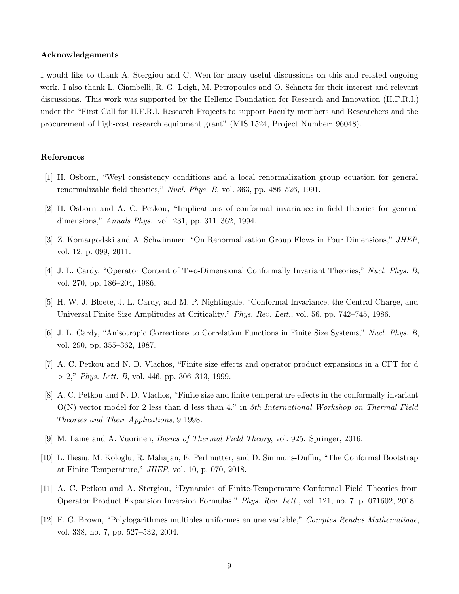### Acknowledgements

I would like to thank A. Stergiou and C. Wen for many useful discussions on this and related ongoing work. I also thank L. Ciambelli, R. G. Leigh, M. Petropoulos and O. Schnetz for their interest and relevant discussions. This work was supported by the Hellenic Foundation for Research and Innovation (H.F.R.I.) under the "First Call for H.F.R.I. Research Projects to support Faculty members and Researchers and the procurement of high-cost research equipment grant" (MIS 1524, Project Number: 96048).

# <span id="page-8-0"></span>References

- [1] H. Osborn, "Weyl consistency conditions and a local renormalization group equation for general renormalizable field theories," Nucl. Phys. B, vol. 363, pp. 486–526, 1991.
- <span id="page-8-1"></span>[2] H. Osborn and A. C. Petkou, "Implications of conformal invariance in field theories for general dimensions," Annals Phys., vol. 231, pp. 311–362, 1994.
- <span id="page-8-2"></span>[3] Z. Komargodski and A. Schwimmer, "On Renormalization Group Flows in Four Dimensions," JHEP, vol. 12, p. 099, 2011.
- <span id="page-8-3"></span>[4] J. L. Cardy, "Operator Content of Two-Dimensional Conformally Invariant Theories," Nucl. Phys. B, vol. 270, pp. 186–204, 1986.
- <span id="page-8-4"></span>[5] H. W. J. Bloete, J. L. Cardy, and M. P. Nightingale, "Conformal Invariance, the Central Charge, and Universal Finite Size Amplitudes at Criticality," Phys. Rev. Lett., vol. 56, pp. 742–745, 1986.
- <span id="page-8-5"></span>[6] J. L. Cardy, "Anisotropic Corrections to Correlation Functions in Finite Size Systems," Nucl. Phys. B, vol. 290, pp. 355–362, 1987.
- <span id="page-8-6"></span>[7] A. C. Petkou and N. D. Vlachos, "Finite size effects and operator product expansions in a CFT for d  $> 2$ ," *Phys. Lett. B*, vol. 446, pp. 306–313, 1999.
- <span id="page-8-7"></span>[8] A. C. Petkou and N. D. Vlachos, "Finite size and finite temperature effects in the conformally invariant  $O(N)$  vector model for 2 less than d less than 4," in 5th International Workshop on Thermal Field Theories and Their Applications, 9 1998.
- <span id="page-8-8"></span>[9] M. Laine and A. Vuorinen, Basics of Thermal Field Theory, vol. 925. Springer, 2016.
- <span id="page-8-9"></span>[10] L. Iliesiu, M. Kologlu, R. Mahajan, E. Perlmutter, and D. Simmons-Duffin, "The Conformal Bootstrap at Finite Temperature," JHEP, vol. 10, p. 070, 2018.
- <span id="page-8-10"></span>[11] A. C. Petkou and A. Stergiou, "Dynamics of Finite-Temperature Conformal Field Theories from Operator Product Expansion Inversion Formulas," Phys. Rev. Lett., vol. 121, no. 7, p. 071602, 2018.
- <span id="page-8-11"></span>[12] F. C. Brown, "Polylogarithmes multiples uniformes en une variable," Comptes Rendus Mathematique, vol. 338, no. 7, pp. 527–532, 2004.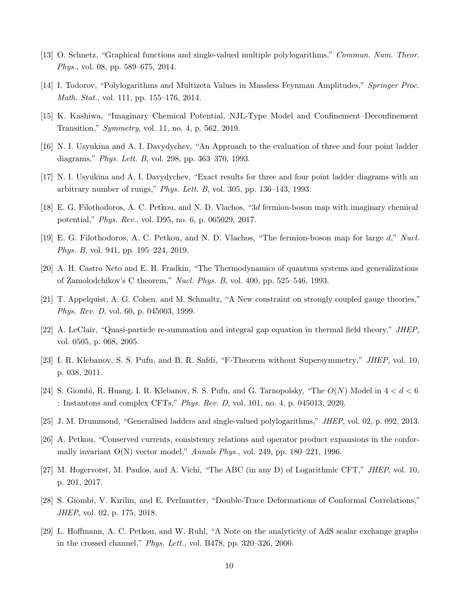- <span id="page-9-0"></span>[13] O. Schnetz, "Graphical functions and single-valued multiple polylogarithms," Commun. Num. Theor. Phys., vol. 08, pp. 589–675, 2014.
- <span id="page-9-1"></span>[14] I. Todorov, "Polylogarithms and Multizeta Values in Massless Feynman Amplitudes," Springer Proc. Math. Stat., vol. 111, pp. 155–176, 2014.
- <span id="page-9-10"></span>[15] K. Kashiwa, "Imaginary Chemical Potential, NJL-Type Model and Confinement–Deconfinement Transition," Symmetry, vol. 11, no. 4, p. 562, 2019.
- <span id="page-9-2"></span>[16] N. I. Usyukina and A. I. Davydychev, "An Approach to the evaluation of three and four point ladder diagrams," Phys. Lett. B, vol. 298, pp. 363–370, 1993.
- <span id="page-9-3"></span>[17] N. I. Usyukina and A. I. Davydychev, "Exact results for three and four point ladder diagrams with an arbitrary number of rungs," Phys. Lett. B, vol. 305, pp. 136–143, 1993.
- <span id="page-9-4"></span>[18] E. G. Filothodoros, A. C. Petkou, and N. D. Vlachos, "3d fermion-boson map with imaginary chemical potential," Phys. Rev., vol. D95, no. 6, p. 065029, 2017.
- <span id="page-9-5"></span>[19] E. G. Filothodoros, A. C. Petkou, and N. D. Vlachos, "The fermion-boson map for large d," Nucl. Phys. B, vol. 941, pp. 195–224, 2019.
- <span id="page-9-6"></span>[20] A. H. Castro Neto and E. H. Fradkin, "The Thermodynamics of quantum systems and generalizations of Zamolodchikov's C theorem," Nucl. Phys. B, vol. 400, pp. 525–546, 1993.
- <span id="page-9-7"></span>[21] T. Appelquist, A. G. Cohen, and M. Schmaltz, "A New constraint on strongly coupled gauge theories," Phys. Rev. D, vol. 60, p. 045003, 1999.
- <span id="page-9-8"></span>[22] A. LeClair, "Quasi-particle re-summation and integral gap equation in thermal field theory," JHEP, vol. 0505, p. 068, 2005.
- <span id="page-9-9"></span>[23] I. R. Klebanov, S. S. Pufu, and B. R. Safdi, "F-Theorem without Supersymmetry," JHEP, vol. 10, p. 038, 2011.
- <span id="page-9-11"></span>[24] S. Giombi, R. Huang, I. R. Klebanov, S. S. Pufu, and G. Tarnopolsky, "The  $O(N)$  Model in  $4 < d < 6$ : Instantons and complex CFTs," Phys. Rev. D, vol. 101, no. 4, p. 045013, 2020.
- <span id="page-9-12"></span>[25] J. M. Drummond, "Generalised ladders and single-valued polylogarithms," JHEP, vol. 02, p. 092, 2013.
- <span id="page-9-13"></span>[26] A. Petkou, "Conserved currents, consistency relations and operator product expansions in the conformally invariant  $O(N)$  vector model," Annals Phys., vol. 249, pp. 180–221, 1996.
- <span id="page-9-14"></span>[27] M. Hogervorst, M. Paulos, and A. Vichi, "The ABC (in any D) of Logarithmic CFT," JHEP, vol. 10, p. 201, 2017.
- <span id="page-9-15"></span>[28] S. Giombi, V. Kirilin, and E. Perlmutter, "Double-Trace Deformations of Conformal Correlations," JHEP, vol. 02, p. 175, 2018.
- <span id="page-9-16"></span>[29] L. Hoffmann, A. C. Petkou, and W. Ruhl, "A Note on the analyticity of AdS scalar exchange graphs in the crossed channel," Phys. Lett., vol. B478, pp. 320–326, 2000.